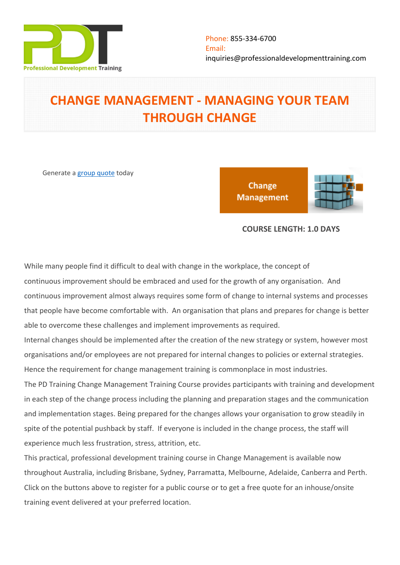

# **CHANGE MANAGEMENT - MANAGING YOUR TEAM THROUGH CHANGE**

Generate a [group quote](https://professionaldevelopmenttraining.com/inhouse-training-quote?cse=PDT0006) today

Change **Management** 



## **COURSE LENGTH: 1.0 DAYS**

While many people find it difficult to deal with change in the workplace, the concept of continuous improvement should be embraced and used for the growth of any organisation. And continuous improvement almost always requires some form of change to internal systems and processes that people have become comfortable with. An organisation that plans and prepares for change is better able to overcome these challenges and implement improvements as required.

Internal changes should be implemented after the creation of the new strategy or system, however most organisations and/or employees are not prepared for internal changes to policies or external strategies. Hence the requirement for change management training is commonplace in most industries.

The PD Training Change Management Training Course provides participants with training and development in each step of the change process including the planning and preparation stages and the communication and implementation stages. Being prepared for the changes allows your organisation to grow steadily in spite of the potential pushback by staff. If everyone is included in the change process, the staff will experience much less frustration, stress, attrition, etc.

This practical, professional development training course in Change Management is available now throughout Australia, including Brisbane, Sydney, Parramatta, Melbourne, Adelaide, Canberra and Perth. Click on the buttons above to register for a public course or to get a free quote for an inhouse/onsite training event delivered at your preferred location.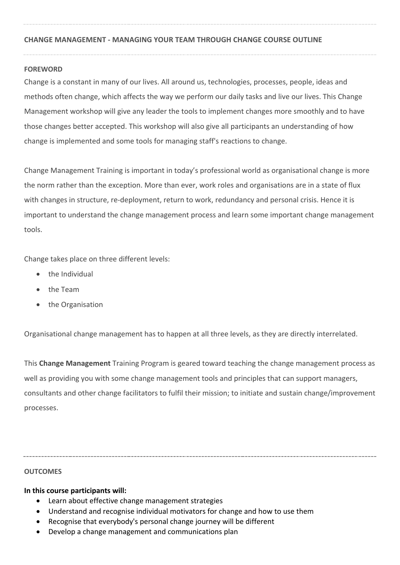## **CHANGE MANAGEMENT - MANAGING YOUR TEAM THROUGH CHANGE COURSE OUTLINE**

#### **FOREWORD**

Change is a constant in many of our lives. All around us, technologies, processes, people, ideas and methods often change, which affects the way we perform our daily tasks and live our lives. This Change Management workshop will give any leader the tools to implement changes more smoothly and to have those changes better accepted. This workshop will also give all participants an understanding of how change is implemented and some tools for managing staff's reactions to change.

Change Management Training is important in today's professional world as organisational change is more the norm rather than the exception. More than ever, work roles and organisations are in a state of flux with changes in structure, re-deployment, return to work, redundancy and personal crisis. Hence it is important to understand the change management process and learn some important change management tools.

Change takes place on three different levels:

- the Individual
- the Team
- the Organisation

Organisational change management has to happen at all three levels, as they are directly interrelated.

This **Change Management** Training Program is geared toward teaching the change management process as well as providing you with some change management tools and principles that can support managers, consultants and other change facilitators to fulfil their mission; to initiate and sustain change/improvement processes.

#### **OUTCOMES**

## **In this course participants will:**

- Learn about effective change management strategies
- Understand and recognise individual motivators for change and how to use them
- Recognise that everybody's personal change journey will be different
- Develop a change management and communications plan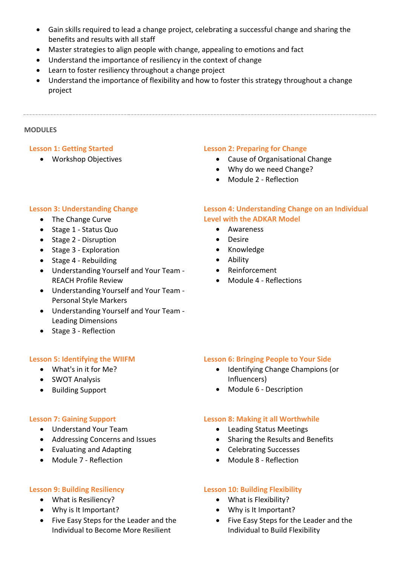- Gain skills required to lead a change project, celebrating a successful change and sharing the benefits and results with all staff
- Master strategies to align people with change, appealing to emotions and fact
- Understand the importance of resiliency in the context of change
- Learn to foster resiliency throughout a change project
- Understand the importance of flexibility and how to foster this strategy throughout a change project

#### **MODULES**

## **Lesson 1: Getting Started**

Workshop Objectives

## **Lesson 2: Preparing for Change**

- Cause of Organisational Change
- Why do we need Change?
- Module 2 Reflection

## **Lesson 3: Understanding Change**

- The Change Curve
- Stage 1 Status Quo
- Stage 2 Disruption
- Stage 3 Exploration
- Stage 4 Rebuilding
- Understanding Yourself and Your Team REACH Profile Review
- Understanding Yourself and Your Team Personal Style Markers
- Understanding Yourself and Your Team Leading Dimensions
- Stage 3 Reflection

## **Lesson 5: Identifying the WIIFM**

- What's in it for Me?
- SWOT Analysis
- Building Support

## **Lesson 7: Gaining Support**

- Understand Your Team
- Addressing Concerns and Issues
- Evaluating and Adapting
- Module 7 Reflection

## **Lesson 9: Building Resiliency**

- What is Resiliency?
- Why is It Important?
- Five Easy Steps for the Leader and the Individual to Become More Resilient

## **Lesson 4: Understanding Change on an Individual Level with the ADKAR Model**

- Awareness
- Desire
- Knowledge
- Ability
- Reinforcement
- Module 4 Reflections

## **Lesson 6: Bringing People to Your Side**

- Identifying Change Champions (or Influencers)
- Module 6 Description

## **Lesson 8: Making it all Worthwhile**

- Leading Status Meetings
- Sharing the Results and Benefits
- Celebrating Successes
- Module 8 Reflection

## **Lesson 10: Building Flexibility**

- What is Flexibility?
- Why is It Important?
- Five Easy Steps for the Leader and the Individual to Build Flexibility